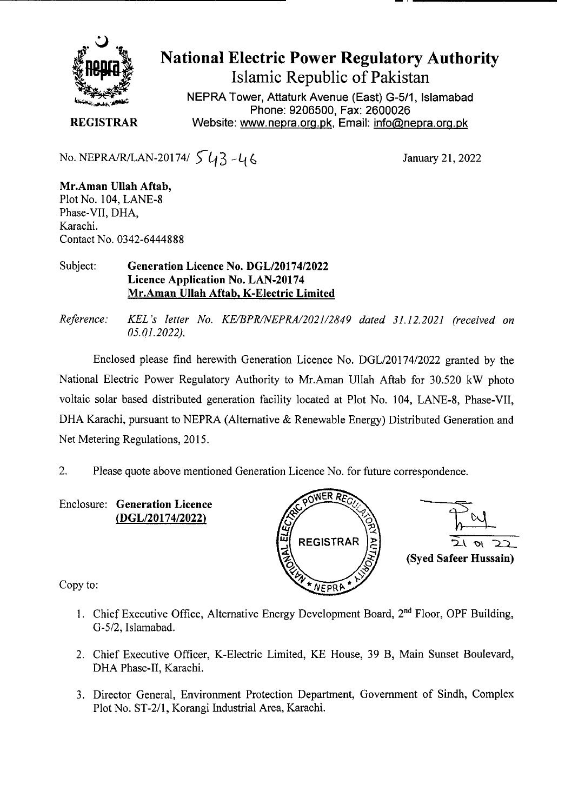

# **National Electric Power Regulatory Authority Islamic Republic of Pakistan**

**NEPRA Tower, Attaturk Avenue (East) G-5/1, Islamabad Phone: 9206500, Fax: 2600026 REGISTRAR** Website: www.nepra.org.pk, Email: info@nepra.org.pk

No. NEPRA/R/LAN-20174/  $\int \frac{1}{4} - 46$  January 21, 2022

**Mr.Aman Ullah Aftab,**  Plot No. 104, LANE-8 Phase-VII, DHA, Karachi. Contact No. 0342-6444888

#### **Subject: Generation Licence No.** *DGL12017412022*  **Licence Application No. LAN-20174 Mr.Aman Ullah Aftab, K-Electric Limited**

*Reference: KEL 's letter No. KE/BPR/NEPRA/2021/2849 dated 31.12.2021 (received on 05.01.2022).* 

Enclosed please find herewith Generation Licence No. DGL/20174/2022 granted by the National Electric Power Regulatory Authority to Mr.Aman Ullah Aftab for 30.520 kW photo voltaic solar based distributed generation facility located at Plot No. 104, LANE-8, Phase-Vu, DHA Karachi, pursuant to NEPRA (Alternative & Renewable Energy) Distributed Generation and Net Metering Regulations, 2015.

2. Please quote above mentioned Generation Licence No. for future correspondence.

Enclosure: **Generation Licence (DGL/20174/2022)** 



Copy to:

- 1. Chief Executive Office, Alternative Energy Development Board,  $2<sup>nd</sup>$  Floor, OPF Building, G-5/2, Islamabad.
- 2. Chief Executive Officer, K-Electric Limited, KE House, 39 B, Main Sunset Boulevard, DHA Phase-IT, Karachi.
- 3. Director General, Environment Protection Department, Government of Sindh, Complex Plot No. ST-2/1, Korangi Industrial Area, Karachi.